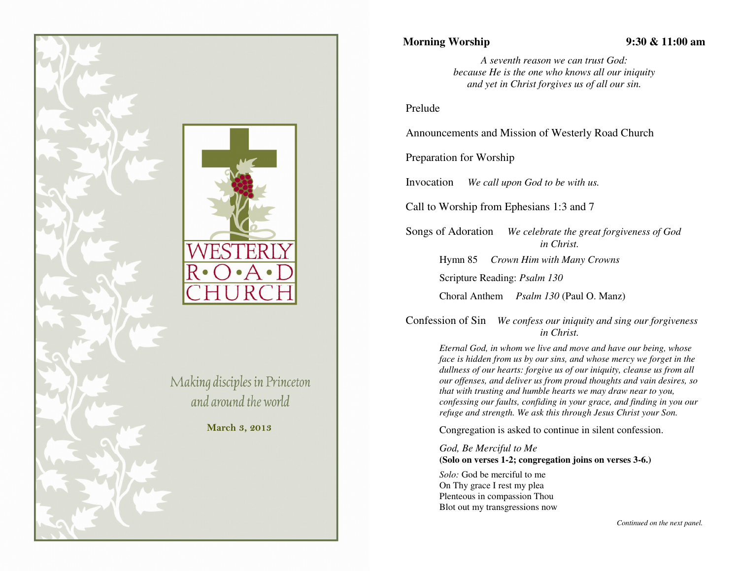

## **Morning Worship 9:30 & 11:00 am**

*A seventh reason we can trust God: because He is the one who knows all our iniquity and yet in Christ forgives us of all our sin.* 

## Prelude

Announcements and Mission of Westerly Road Church

Preparation for Worship

Invocation *We call upon God to be with us.* 

Call to Worship from Ephesians 1:3 and 7

Songs of Adoration *We celebrate the great forgiveness of God in Christ.*

Hymn 85 *Crown Him with Many Crowns* 

Scripture Reading: *Psalm 130*

Choral Anthem *Psalm 130* (Paul O. Manz)

Confession of Sin *We confess our iniquity and sing our forgiveness in Christ.* 

> *Eternal God, in whom we live and move and have our being, whose face is hidden from us by our sins, and whose mercy we forget in the dullness of our hearts: forgive us of our iniquity, cleanse us from all our offenses, and deliver us from proud thoughts and vain desires, so that with trusting and humble hearts we may draw near to you, confessing our faults, confiding in your grace, and finding in you our refuge and strength. We ask this through Jesus Christ your Son.*

Congregation is asked to continue in silent confession.

*God, Be Merciful to Me* **(Solo on verses 1-2; congregation joins on verses 3-6.)** 

*Solo:* God be merciful to me On Thy grace I rest my plea Plenteous in compassion Thou Blot out my transgressions now

*Continued on the next panel.*